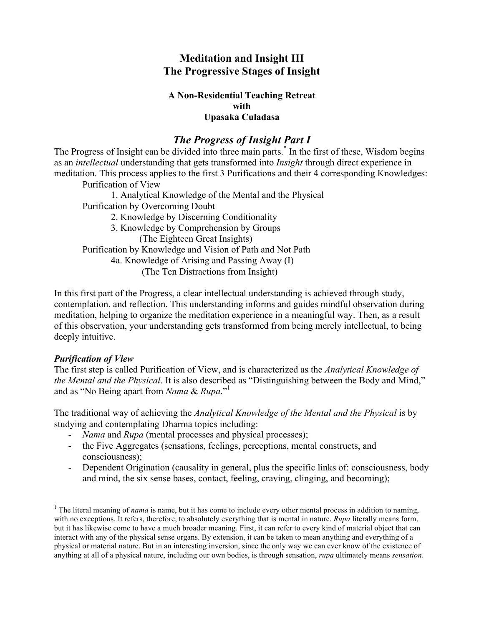### **Meditation and Insight III The Progressive Stages of Insight**

#### **A Non-Residential Teaching Retreat with Upasaka Culadasa**

## *The Progress of Insight Part I*

The Progress of Insight can be divided into three main parts.<sup>\*</sup> In the first of these, Wisdom begins as an *intellectual* understanding that gets transformed into *Insight* through direct experience in meditation. This process applies to the first 3 Purifications and their 4 corresponding Knowledges: Purification of View

1. Analytical Knowledge of the Mental and the Physical Purification by Overcoming Doubt

2. Knowledge by Discerning Conditionality 3. Knowledge by Comprehension by Groups (The Eighteen Great Insights) Purification by Knowledge and Vision of Path and Not Path 4a. Knowledge of Arising and Passing Away (I) (The Ten Distractions from Insight)

In this first part of the Progress, a clear intellectual understanding is achieved through study, contemplation, and reflection. This understanding informs and guides mindful observation during meditation, helping to organize the meditation experience in a meaningful way. Then, as a result of this observation, your understanding gets transformed from being merely intellectual, to being deeply intuitive.

### *Purification of View*

The first step is called Purification of View, and is characterized as the *Analytical Knowledge of the Mental and the Physical*. It is also described as "Distinguishing between the Body and Mind," and as "No Being apart from *Nama* & *Rupa*."1

The traditional way of achieving the *Analytical Knowledge of the Mental and the Physical* is by studying and contemplating Dharma topics including:

- *Nama* and *Rupa* (mental processes and physical processes);
- the Five Aggregates (sensations, feelings, perceptions, mental constructs, and consciousness);
- Dependent Origination (causality in general, plus the specific links of: consciousness, body and mind, the six sense bases, contact, feeling, craving, clinging, and becoming);

<sup>&</sup>lt;sup>1</sup> The literal meaning of *nama* is name, but it has come to include every other mental process in addition to naming, with no exceptions. It refers, therefore, to absolutely everything that is mental in nature. *Rupa* literally means form, but it has likewise come to have a much broader meaning. First, it can refer to every kind of material object that can interact with any of the physical sense organs. By extension, it can be taken to mean anything and everything of a physical or material nature. But in an interesting inversion, since the only way we can ever know of the existence of anything at all of a physical nature, including our own bodies, is through sensation, *rupa* ultimately means *sensation*.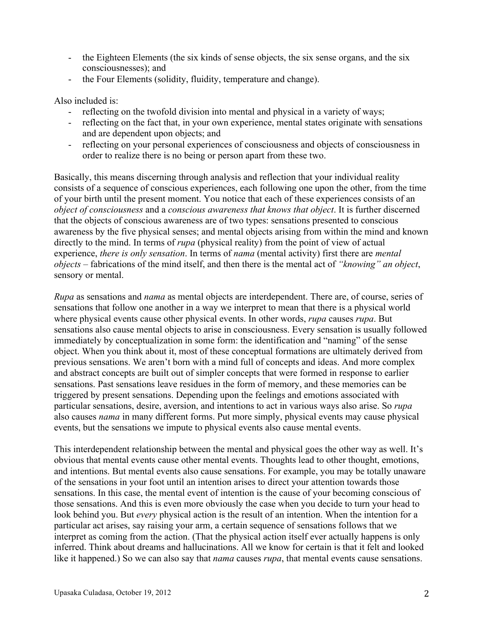- the Eighteen Elements (the six kinds of sense objects, the six sense organs, and the six consciousnesses); and
- the Four Elements (solidity, fluidity, temperature and change).

Also included is:

- reflecting on the twofold division into mental and physical in a variety of ways;
- reflecting on the fact that, in your own experience, mental states originate with sensations and are dependent upon objects; and
- reflecting on your personal experiences of consciousness and objects of consciousness in order to realize there is no being or person apart from these two.

Basically, this means discerning through analysis and reflection that your individual reality consists of a sequence of conscious experiences, each following one upon the other, from the time of your birth until the present moment. You notice that each of these experiences consists of an *object of consciousness* and a *conscious awareness that knows that object*. It is further discerned that the objects of conscious awareness are of two types: sensations presented to conscious awareness by the five physical senses; and mental objects arising from within the mind and known directly to the mind. In terms of *rupa* (physical reality) from the point of view of actual experience, *there is only sensation*. In terms of *nama* (mental activity) first there are *mental objects* – fabrications of the mind itself, and then there is the mental act of *"knowing" an object*, sensory or mental.

*Rupa* as sensations and *nama* as mental objects are interdependent. There are, of course, series of sensations that follow one another in a way we interpret to mean that there is a physical world where physical events cause other physical events. In other words, *rupa* causes *rupa*. But sensations also cause mental objects to arise in consciousness. Every sensation is usually followed immediately by conceptualization in some form: the identification and "naming" of the sense object. When you think about it, most of these conceptual formations are ultimately derived from previous sensations. We aren't born with a mind full of concepts and ideas. And more complex and abstract concepts are built out of simpler concepts that were formed in response to earlier sensations. Past sensations leave residues in the form of memory, and these memories can be triggered by present sensations. Depending upon the feelings and emotions associated with particular sensations, desire, aversion, and intentions to act in various ways also arise. So *rupa* also causes *nama* in many different forms. Put more simply, physical events may cause physical events, but the sensations we impute to physical events also cause mental events.

This interdependent relationship between the mental and physical goes the other way as well. It's obvious that mental events cause other mental events. Thoughts lead to other thought, emotions, and intentions. But mental events also cause sensations. For example, you may be totally unaware of the sensations in your foot until an intention arises to direct your attention towards those sensations. In this case, the mental event of intention is the cause of your becoming conscious of those sensations. And this is even more obviously the case when you decide to turn your head to look behind you. But *every* physical action is the result of an intention. When the intention for a particular act arises, say raising your arm, a certain sequence of sensations follows that we interpret as coming from the action. (That the physical action itself ever actually happens is only inferred. Think about dreams and hallucinations. All we know for certain is that it felt and looked like it happened.) So we can also say that *nama* causes *rupa*, that mental events cause sensations.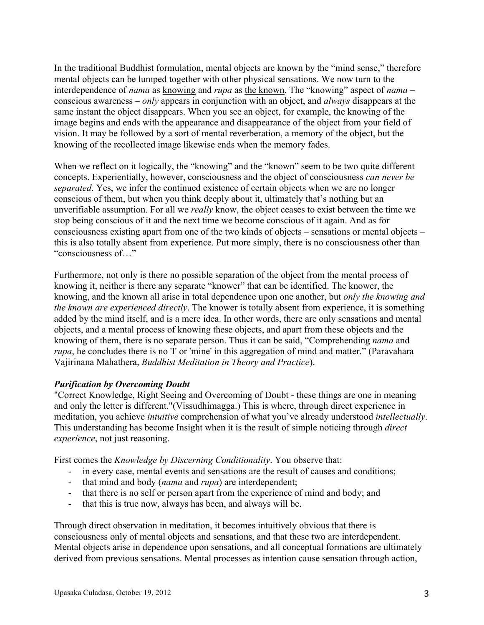In the traditional Buddhist formulation, mental objects are known by the "mind sense," therefore mental objects can be lumped together with other physical sensations. We now turn to the interdependence of *nama* as knowing and *rupa* as the known. The "knowing" aspect of *nama* – conscious awareness – *only* appears in conjunction with an object, and *always* disappears at the same instant the object disappears. When you see an object, for example, the knowing of the image begins and ends with the appearance and disappearance of the object from your field of vision. It may be followed by a sort of mental reverberation, a memory of the object, but the knowing of the recollected image likewise ends when the memory fades.

When we reflect on it logically, the "knowing" and the "known" seem to be two quite different concepts. Experientially, however, consciousness and the object of consciousness *can never be separated*. Yes, we infer the continued existence of certain objects when we are no longer conscious of them, but when you think deeply about it, ultimately that's nothing but an unverifiable assumption. For all we *really* know, the object ceases to exist between the time we stop being conscious of it and the next time we become conscious of it again. And as for consciousness existing apart from one of the two kinds of objects – sensations or mental objects – this is also totally absent from experience. Put more simply, there is no consciousness other than "consciousness of…"

Furthermore, not only is there no possible separation of the object from the mental process of knowing it, neither is there any separate "knower" that can be identified. The knower, the knowing, and the known all arise in total dependence upon one another, but *only the knowing and the known are experienced directly*. The knower is totally absent from experience, it is something added by the mind itself, and is a mere idea. In other words, there are only sensations and mental objects, and a mental process of knowing these objects, and apart from these objects and the knowing of them, there is no separate person. Thus it can be said, "Comprehending *nama* and *rupa*, he concludes there is no 'I' or 'mine' in this aggregation of mind and matter." (Paravahara Vajirinana Mahathera, *Buddhist Meditation in Theory and Practice*).

### *Purification by Overcoming Doubt*

"Correct Knowledge, Right Seeing and Overcoming of Doubt - these things are one in meaning and only the letter is different."(Vissudhimagga.) This is where, through direct experience in meditation, you achieve *intuitive* comprehension of what you've already understood *intellectually*. This understanding has become Insight when it is the result of simple noticing through *direct experience*, not just reasoning.

First comes the *Knowledge by Discerning Conditionality*. You observe that:

- in every case, mental events and sensations are the result of causes and conditions;
- that mind and body (*nama* and *rupa*) are interdependent;
- that there is no self or person apart from the experience of mind and body; and
- that this is true now, always has been, and always will be.

Through direct observation in meditation, it becomes intuitively obvious that there is consciousness only of mental objects and sensations, and that these two are interdependent. Mental objects arise in dependence upon sensations, and all conceptual formations are ultimately derived from previous sensations. Mental processes as intention cause sensation through action,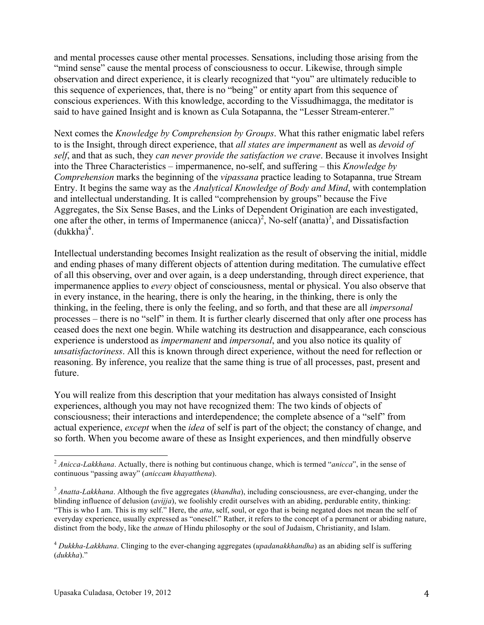and mental processes cause other mental processes. Sensations, including those arising from the "mind sense" cause the mental process of consciousness to occur. Likewise, through simple observation and direct experience, it is clearly recognized that "you" are ultimately reducible to this sequence of experiences, that, there is no "being" or entity apart from this sequence of conscious experiences. With this knowledge, according to the Vissudhimagga, the meditator is said to have gained Insight and is known as Cula Sotapanna, the "Lesser Stream-enterer."

Next comes the *Knowledge by Comprehension by Groups*. What this rather enigmatic label refers to is the Insight, through direct experience, that *all states are impermanent* as well as *devoid of self*, and that as such, they *can never provide the satisfaction we crave*. Because it involves Insight into the Three Characteristics – impermanence, no-self, and suffering – this *Knowledge by Comprehension* marks the beginning of the *vipassana* practice leading to Sotapanna, true Stream Entry. It begins the same way as the *Analytical Knowledge of Body and Mind*, with contemplation and intellectual understanding. It is called "comprehension by groups" because the Five Aggregates, the Six Sense Bases, and the Links of Dependent Origination are each investigated, one after the other, in terms of Impermanence  $(anicca)^2$ , No-self  $(anatta)^3$ , and Dissatisfaction  $(dukkha)^4$ .

Intellectual understanding becomes Insight realization as the result of observing the initial, middle and ending phases of many different objects of attention during meditation. The cumulative effect of all this observing, over and over again, is a deep understanding, through direct experience, that impermanence applies to *every* object of consciousness, mental or physical. You also observe that in every instance, in the hearing, there is only the hearing, in the thinking, there is only the thinking, in the feeling, there is only the feeling, and so forth, and that these are all *impersonal* processes – there is no "self" in them. It is further clearly discerned that only after one process has ceased does the next one begin. While watching its destruction and disappearance, each conscious experience is understood as *impermanent* and *impersonal*, and you also notice its quality of *unsatisfactoriness*. All this is known through direct experience, without the need for reflection or reasoning. By inference, you realize that the same thing is true of all processes, past, present and future.

You will realize from this description that your meditation has always consisted of Insight experiences, although you may not have recognized them: The two kinds of objects of consciousness; their interactions and interdependence; the complete absence of a "self" from actual experience, *except* when the *idea* of self is part of the object; the constancy of change, and so forth. When you become aware of these as Insight experiences, and then mindfully observe

<sup>&</sup>lt;sup>2</sup> Anicca-Lakkhana. Actually, there is nothing but continuous change, which is termed "*anicca*", in the sense of continuous "passing away" (*aniccam khayatthena*).

<sup>3</sup> *Anatta-Lakkhana*. Although the five aggregates (*khandha*), including consciousness, are ever-changing, under the blinding influence of delusion (*avijja*), we foolishly credit ourselves with an abiding, perdurable entity, thinking: "This is who I am. This is my self." Here, the *atta*, self, soul, or ego that is being negated does not mean the self of everyday experience, usually expressed as "oneself." Rather, it refers to the concept of a permanent or abiding nature, distinct from the body, like the *atman* of Hindu philosophy or the soul of Judaism, Christianity, and Islam.

<sup>4</sup> *Dukkha-Lakkhana*. Clinging to the ever-changing aggregates (*upadanakkhandha*) as an abiding self is suffering (*dukkha*)."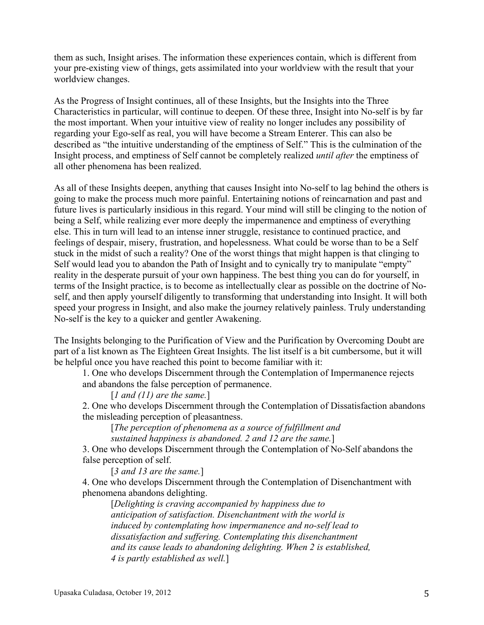them as such, Insight arises. The information these experiences contain, which is different from your pre-existing view of things, gets assimilated into your worldview with the result that your worldview changes.

As the Progress of Insight continues, all of these Insights, but the Insights into the Three Characteristics in particular, will continue to deepen. Of these three, Insight into No-self is by far the most important. When your intuitive view of reality no longer includes any possibility of regarding your Ego-self as real, you will have become a Stream Enterer. This can also be described as "the intuitive understanding of the emptiness of Self." This is the culmination of the Insight process, and emptiness of Self cannot be completely realized *until after* the emptiness of all other phenomena has been realized.

As all of these Insights deepen, anything that causes Insight into No-self to lag behind the others is going to make the process much more painful. Entertaining notions of reincarnation and past and future lives is particularly insidious in this regard. Your mind will still be clinging to the notion of being a Self, while realizing ever more deeply the impermanence and emptiness of everything else. This in turn will lead to an intense inner struggle, resistance to continued practice, and feelings of despair, misery, frustration, and hopelessness. What could be worse than to be a Self stuck in the midst of such a reality? One of the worst things that might happen is that clinging to Self would lead you to abandon the Path of Insight and to cynically try to manipulate "empty" reality in the desperate pursuit of your own happiness. The best thing you can do for yourself, in terms of the Insight practice, is to become as intellectually clear as possible on the doctrine of Noself, and then apply yourself diligently to transforming that understanding into Insight. It will both speed your progress in Insight, and also make the journey relatively painless. Truly understanding No-self is the key to a quicker and gentler Awakening.

The Insights belonging to the Purification of View and the Purification by Overcoming Doubt are part of a list known as The Eighteen Great Insights. The list itself is a bit cumbersome, but it will be helpful once you have reached this point to become familiar with it:

1. One who develops Discernment through the Contemplation of Impermanence rejects and abandons the false perception of permanence.

[*1 and (11) are the same.*]

2. One who develops Discernment through the Contemplation of Dissatisfaction abandons the misleading perception of pleasantness.

[*The perception of phenomena as a source of fulfillment and sustained happiness is abandoned. 2 and 12 are the same.*]

3. One who develops Discernment through the Contemplation of No-Self abandons the false perception of self.

[*3 and 13 are the same.*]

4. One who develops Discernment through the Contemplation of Disenchantment with phenomena abandons delighting.

[*Delighting is craving accompanied by happiness due to anticipation of satisfaction. Disenchantment with the world is induced by contemplating how impermanence and no-self lead to dissatisfaction and suffering. Contemplating this disenchantment and its cause leads to abandoning delighting. When 2 is established, 4 is partly established as well.*]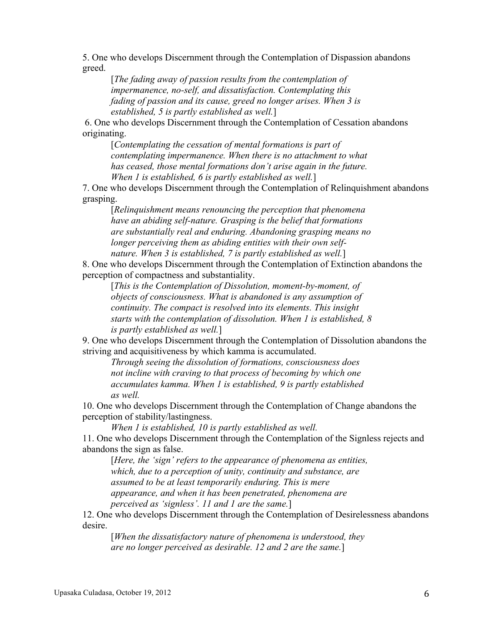5. One who develops Discernment through the Contemplation of Dispassion abandons greed.

[*The fading away of passion results from the contemplation of impermanence, no-self, and dissatisfaction. Contemplating this fading of passion and its cause, greed no longer arises. When 3 is established, 5 is partly established as well.*]

6. One who develops Discernment through the Contemplation of Cessation abandons originating.

[*Contemplating the cessation of mental formations is part of contemplating impermanence. When there is no attachment to what has ceased, those mental formations don't arise again in the future. When 1 is established, 6 is partly established as well.*]

7. One who develops Discernment through the Contemplation of Relinquishment abandons grasping.

[*Relinquishment means renouncing the perception that phenomena have an abiding self-nature. Grasping is the belief that formations are substantially real and enduring. Abandoning grasping means no longer perceiving them as abiding entities with their own selfnature. When 3 is established, 7 is partly established as well.*]

8. One who develops Discernment through the Contemplation of Extinction abandons the perception of compactness and substantiality.

[*This is the Contemplation of Dissolution, moment-by-moment, of objects of consciousness. What is abandoned is any assumption of continuity. The compact is resolved into its elements. This insight starts with the contemplation of dissolution. When 1 is established, 8 is partly established as well.*]

9. One who develops Discernment through the Contemplation of Dissolution abandons the striving and acquisitiveness by which kamma is accumulated.

*Through seeing the dissolution of formations, consciousness does not incline with craving to that process of becoming by which one accumulates kamma. When 1 is established, 9 is partly established as well.*

10. One who develops Discernment through the Contemplation of Change abandons the perception of stability/lastingness.

*When 1 is established, 10 is partly established as well.*

11. One who develops Discernment through the Contemplation of the Signless rejects and abandons the sign as false.

[*Here, the 'sign' refers to the appearance of phenomena as entities, which, due to a perception of unity, continuity and substance, are assumed to be at least temporarily enduring. This is mere appearance, and when it has been penetrated, phenomena are perceived as 'signless'. 11 and 1 are the same.*]

12. One who develops Discernment through the Contemplation of Desirelessness abandons desire.

[*When the dissatisfactory nature of phenomena is understood, they are no longer perceived as desirable. 12 and 2 are the same.*]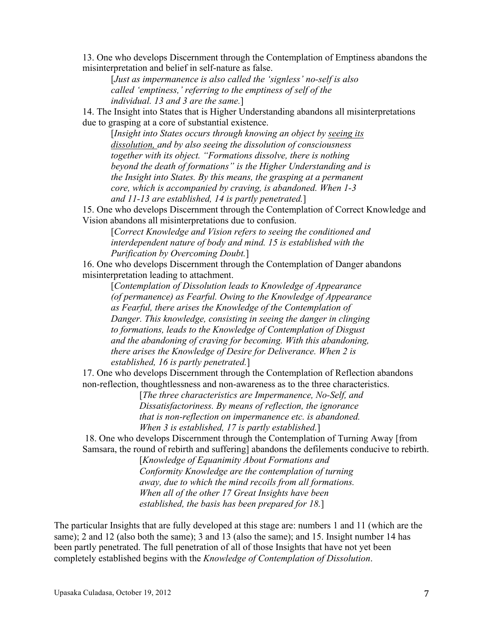13. One who develops Discernment through the Contemplation of Emptiness abandons the misinterpretation and belief in self-nature as false.

[*Just as impermanence is also called the 'signless' no-self is also called 'emptiness,' referring to the emptiness of self of the individual. 13 and 3 are the same.*]

14. The Insight into States that is Higher Understanding abandons all misinterpretations due to grasping at a core of substantial existence.

[*Insight into States occurs through knowing an object by seeing its dissolution, and by also seeing the dissolution of consciousness together with its object. "Formations dissolve, there is nothing beyond the death of formations" is the Higher Understanding and is the Insight into States. By this means, the grasping at a permanent core, which is accompanied by craving, is abandoned. When 1-3 and 11-13 are established, 14 is partly penetrated.*]

15. One who develops Discernment through the Contemplation of Correct Knowledge and Vision abandons all misinterpretations due to confusion.

[*Correct Knowledge and Vision refers to seeing the conditioned and interdependent nature of body and mind. 15 is established with the Purification by Overcoming Doubt.*]

16. One who develops Discernment through the Contemplation of Danger abandons misinterpretation leading to attachment.

[*Contemplation of Dissolution leads to Knowledge of Appearance (of permanence) as Fearful. Owing to the Knowledge of Appearance as Fearful, there arises the Knowledge of the Contemplation of Danger. This knowledge, consisting in seeing the danger in clinging to formations, leads to the Knowledge of Contemplation of Disgust and the abandoning of craving for becoming. With this abandoning, there arises the Knowledge of Desire for Deliverance. When 2 is established, 16 is partly penetrated.*]

17. One who develops Discernment through the Contemplation of Reflection abandons non-reflection, thoughtlessness and non-awareness as to the three characteristics.

[*The three characteristics are Impermanence, No-Self, and Dissatisfactoriness. By means of reflection, the ignorance that is non-reflection on impermanence etc. is abandoned. When 3 is established, 17 is partly established.*]

18. One who develops Discernment through the Contemplation of Turning Away [from Samsara, the round of rebirth and suffering] abandons the defilements conducive to rebirth.

> [*Knowledge of Equanimity About Formations and Conformity Knowledge are the contemplation of turning away, due to which the mind recoils from all formations. When all of the other 17 Great Insights have been established, the basis has been prepared for 18.*]

The particular Insights that are fully developed at this stage are: numbers 1 and 11 (which are the same); 2 and 12 (also both the same); 3 and 13 (also the same); and 15. Insight number 14 has been partly penetrated. The full penetration of all of those Insights that have not yet been completely established begins with the *Knowledge of Contemplation of Dissolution*.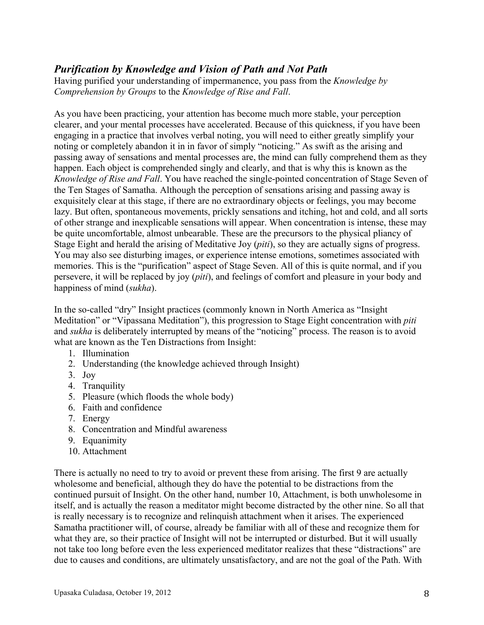### *Purification by Knowledge and Vision of Path and Not Path*

Having purified your understanding of impermanence, you pass from the *Knowledge by Comprehension by Groups* to the *Knowledge of Rise and Fall*.

As you have been practicing, your attention has become much more stable, your perception clearer, and your mental processes have accelerated. Because of this quickness, if you have been engaging in a practice that involves verbal noting, you will need to either greatly simplify your noting or completely abandon it in in favor of simply "noticing." As swift as the arising and passing away of sensations and mental processes are, the mind can fully comprehend them as they happen. Each object is comprehended singly and clearly, and that is why this is known as the *Knowledge of Rise and Fall*. You have reached the single-pointed concentration of Stage Seven of the Ten Stages of Samatha. Although the perception of sensations arising and passing away is exquisitely clear at this stage, if there are no extraordinary objects or feelings, you may become lazy. But often, spontaneous movements, prickly sensations and itching, hot and cold, and all sorts of other strange and inexplicable sensations will appear. When concentration is intense, these may be quite uncomfortable, almost unbearable. These are the precursors to the physical pliancy of Stage Eight and herald the arising of Meditative Joy (*piti*), so they are actually signs of progress. You may also see disturbing images, or experience intense emotions, sometimes associated with memories. This is the "purification" aspect of Stage Seven. All of this is quite normal, and if you persevere, it will be replaced by joy (*piti*), and feelings of comfort and pleasure in your body and happiness of mind (*sukha*).

In the so-called "dry" Insight practices (commonly known in North America as "Insight Meditation" or "Vipassana Meditation"), this progression to Stage Eight concentration with *piti* and *sukha* is deliberately interrupted by means of the "noticing" process. The reason is to avoid what are known as the Ten Distractions from Insight:

- 1. Illumination
- 2. Understanding (the knowledge achieved through Insight)
- 3. Joy
- 4. Tranquility
- 5. Pleasure (which floods the whole body)
- 6. Faith and confidence
- 7. Energy
- 8. Concentration and Mindful awareness
- 9. Equanimity
- 10. Attachment

There is actually no need to try to avoid or prevent these from arising. The first 9 are actually wholesome and beneficial, although they do have the potential to be distractions from the continued pursuit of Insight. On the other hand, number 10, Attachment, is both unwholesome in itself, and is actually the reason a meditator might become distracted by the other nine. So all that is really necessary is to recognize and relinquish attachment when it arises. The experienced Samatha practitioner will, of course, already be familiar with all of these and recognize them for what they are, so their practice of Insight will not be interrupted or disturbed. But it will usually not take too long before even the less experienced meditator realizes that these "distractions" are due to causes and conditions, are ultimately unsatisfactory, and are not the goal of the Path. With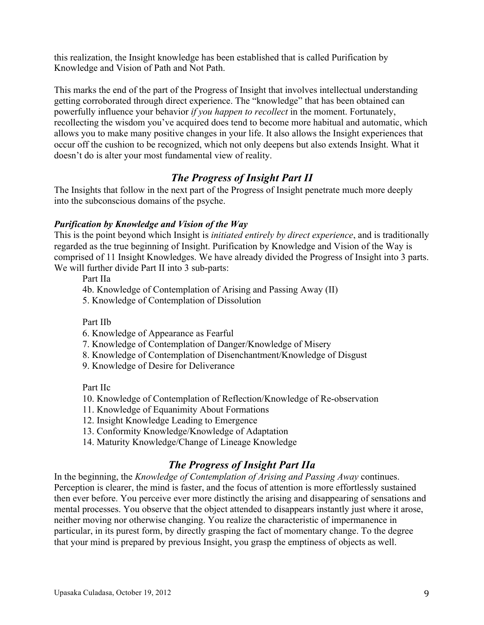this realization, the Insight knowledge has been established that is called Purification by Knowledge and Vision of Path and Not Path.

This marks the end of the part of the Progress of Insight that involves intellectual understanding getting corroborated through direct experience. The "knowledge" that has been obtained can powerfully influence your behavior *if you happen to recollect* in the moment. Fortunately, recollecting the wisdom you've acquired does tend to become more habitual and automatic, which allows you to make many positive changes in your life. It also allows the Insight experiences that occur off the cushion to be recognized, which not only deepens but also extends Insight. What it doesn't do is alter your most fundamental view of reality.

## *The Progress of Insight Part II*

The Insights that follow in the next part of the Progress of Insight penetrate much more deeply into the subconscious domains of the psyche.

### *Purification by Knowledge and Vision of the Way*

This is the point beyond which Insight is *initiated entirely by direct experience*, and is traditionally regarded as the true beginning of Insight. Purification by Knowledge and Vision of the Way is comprised of 11 Insight Knowledges. We have already divided the Progress of Insight into 3 parts. We will further divide Part II into 3 sub-parts:

Part IIa

4b. Knowledge of Contemplation of Arising and Passing Away (II)

5. Knowledge of Contemplation of Dissolution

Part IIb

6. Knowledge of Appearance as Fearful

- 7. Knowledge of Contemplation of Danger/Knowledge of Misery
- 8. Knowledge of Contemplation of Disenchantment/Knowledge of Disgust
- 9. Knowledge of Desire for Deliverance

Part IIc

- 10. Knowledge of Contemplation of Reflection/Knowledge of Re-observation
- 11. Knowledge of Equanimity About Formations
- 12. Insight Knowledge Leading to Emergence
- 13. Conformity Knowledge/Knowledge of Adaptation
- 14. Maturity Knowledge/Change of Lineage Knowledge

# *The Progress of Insight Part IIa*

In the beginning, the *Knowledge of Contemplation of Arising and Passing Away* continues. Perception is clearer, the mind is faster, and the focus of attention is more effortlessly sustained then ever before. You perceive ever more distinctly the arising and disappearing of sensations and mental processes. You observe that the object attended to disappears instantly just where it arose, neither moving nor otherwise changing. You realize the characteristic of impermanence in particular, in its purest form, by directly grasping the fact of momentary change. To the degree that your mind is prepared by previous Insight, you grasp the emptiness of objects as well.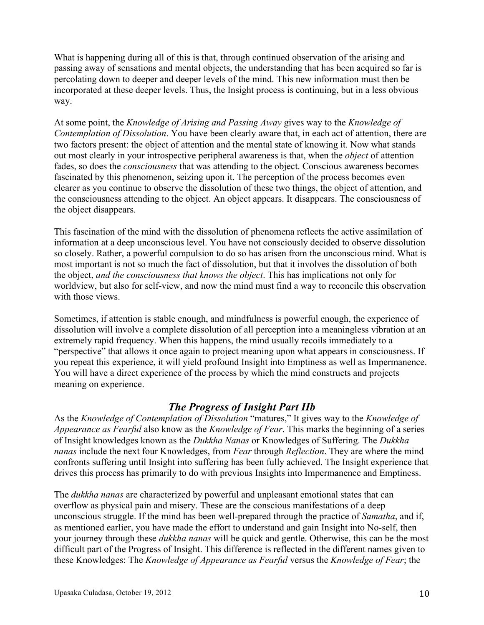What is happening during all of this is that, through continued observation of the arising and passing away of sensations and mental objects, the understanding that has been acquired so far is percolating down to deeper and deeper levels of the mind. This new information must then be incorporated at these deeper levels. Thus, the Insight process is continuing, but in a less obvious way.

At some point, the *Knowledge of Arising and Passing Away* gives way to the *Knowledge of Contemplation of Dissolution*. You have been clearly aware that, in each act of attention, there are two factors present: the object of attention and the mental state of knowing it. Now what stands out most clearly in your introspective peripheral awareness is that, when the *object* of attention fades, so does the *consciousness* that was attending to the object. Conscious awareness becomes fascinated by this phenomenon, seizing upon it. The perception of the process becomes even clearer as you continue to observe the dissolution of these two things, the object of attention, and the consciousness attending to the object. An object appears. It disappears. The consciousness of the object disappears.

This fascination of the mind with the dissolution of phenomena reflects the active assimilation of information at a deep unconscious level. You have not consciously decided to observe dissolution so closely. Rather, a powerful compulsion to do so has arisen from the unconscious mind. What is most important is not so much the fact of dissolution, but that it involves the dissolution of both the object, *and the consciousness that knows the object*. This has implications not only for worldview, but also for self-view, and now the mind must find a way to reconcile this observation with those views.

Sometimes, if attention is stable enough, and mindfulness is powerful enough, the experience of dissolution will involve a complete dissolution of all perception into a meaningless vibration at an extremely rapid frequency. When this happens, the mind usually recoils immediately to a "perspective" that allows it once again to project meaning upon what appears in consciousness. If you repeat this experience, it will yield profound Insight into Emptiness as well as Impermanence. You will have a direct experience of the process by which the mind constructs and projects meaning on experience.

### *The Progress of Insight Part IIb*

As the *Knowledge of Contemplation of Dissolution* "matures," It gives way to the *Knowledge of Appearance as Fearful* also know as the *Knowledge of Fear*. This marks the beginning of a series of Insight knowledges known as the *Dukkha Nanas* or Knowledges of Suffering. The *Dukkha nanas* include the next four Knowledges, from *Fear* through *Reflection*. They are where the mind confronts suffering until Insight into suffering has been fully achieved. The Insight experience that drives this process has primarily to do with previous Insights into Impermanence and Emptiness.

The *dukkha nanas* are characterized by powerful and unpleasant emotional states that can overflow as physical pain and misery. These are the conscious manifestations of a deep unconscious struggle. If the mind has been well-prepared through the practice of *Samatha*, and if, as mentioned earlier, you have made the effort to understand and gain Insight into No-self, then your journey through these *dukkha nanas* will be quick and gentle. Otherwise, this can be the most difficult part of the Progress of Insight. This difference is reflected in the different names given to these Knowledges: The *Knowledge of Appearance as Fearful* versus the *Knowledge of Fear*; the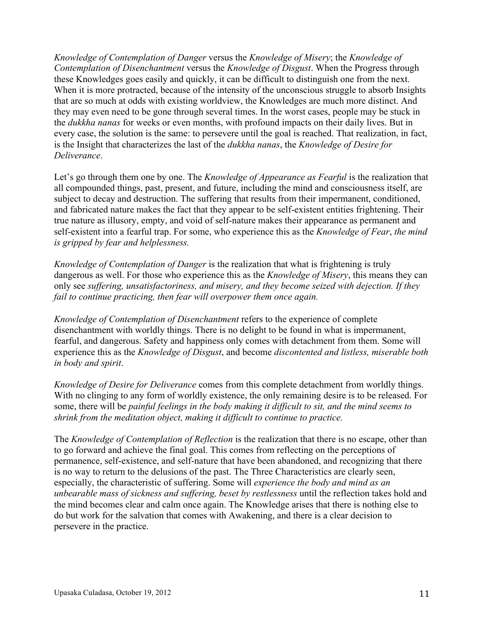*Knowledge of Contemplation of Danger* versus the *Knowledge of Misery*; the *Knowledge of Contemplation of Disenchantment* versus the *Knowledge of Disgust*. When the Progress through these Knowledges goes easily and quickly, it can be difficult to distinguish one from the next. When it is more protracted, because of the intensity of the unconscious struggle to absorb Insights that are so much at odds with existing worldview, the Knowledges are much more distinct. And they may even need to be gone through several times. In the worst cases, people may be stuck in the *dukkha nanas* for weeks or even months, with profound impacts on their daily lives. But in every case, the solution is the same: to persevere until the goal is reached. That realization, in fact, is the Insight that characterizes the last of the *dukkha nanas*, the *Knowledge of Desire for Deliverance*.

Let's go through them one by one. The *Knowledge of Appearance as Fearful* is the realization that all compounded things, past, present, and future, including the mind and consciousness itself, are subject to decay and destruction. The suffering that results from their impermanent, conditioned, and fabricated nature makes the fact that they appear to be self-existent entities frightening. Their true nature as illusory, empty, and void of self-nature makes their appearance as permanent and self-existent into a fearful trap. For some, who experience this as the *Knowledge of Fear*, *the mind is gripped by fear and helplessness.*

*Knowledge of Contemplation of Danger* is the realization that what is frightening is truly dangerous as well. For those who experience this as the *Knowledge of Misery*, this means they can only see *suffering, unsatisfactoriness, and misery, and they become seized with dejection. If they fail to continue practicing, then fear will overpower them once again.*

*Knowledge of Contemplation of Disenchantment* refers to the experience of complete disenchantment with worldly things. There is no delight to be found in what is impermanent, fearful, and dangerous. Safety and happiness only comes with detachment from them. Some will experience this as the *Knowledge of Disgust*, and become *discontented and listless, miserable both in body and spirit*.

*Knowledge of Desire for Deliverance* comes from this complete detachment from worldly things. With no clinging to any form of worldly existence, the only remaining desire is to be released. For some, there will be *painful feelings in the body making it difficult to sit, and the mind seems to shrink from the meditation object, making it difficult to continue to practice.*

The *Knowledge of Contemplation of Reflection* is the realization that there is no escape, other than to go forward and achieve the final goal. This comes from reflecting on the perceptions of permanence, self-existence, and self-nature that have been abandoned, and recognizing that there is no way to return to the delusions of the past. The Three Characteristics are clearly seen, especially, the characteristic of suffering. Some will *experience the body and mind as an unbearable mass of sickness and suffering, beset by restlessness* until the reflection takes hold and the mind becomes clear and calm once again. The Knowledge arises that there is nothing else to do but work for the salvation that comes with Awakening, and there is a clear decision to persevere in the practice.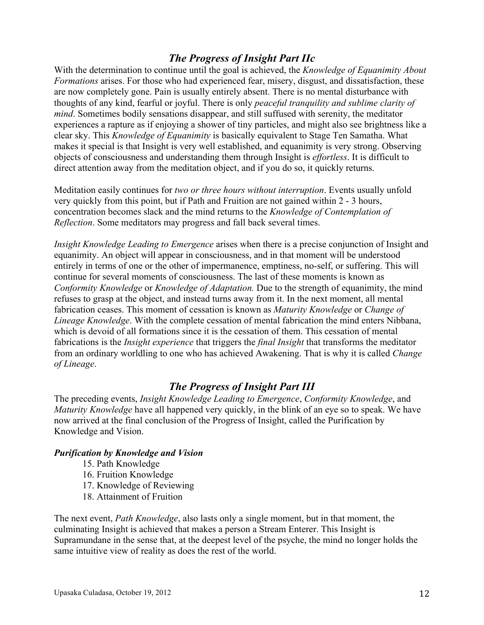### *The Progress of Insight Part IIc*

With the determination to continue until the goal is achieved, the *Knowledge of Equanimity About Formations* arises. For those who had experienced fear, misery, disgust, and dissatisfaction, these are now completely gone. Pain is usually entirely absent. There is no mental disturbance with thoughts of any kind, fearful or joyful. There is only *peaceful tranquility and sublime clarity of mind*. Sometimes bodily sensations disappear, and still suffused with serenity, the meditator experiences a rapture as if enjoying a shower of tiny particles, and might also see brightness like a clear sky. This *Knowledge of Equanimity* is basically equivalent to Stage Ten Samatha. What makes it special is that Insight is very well established, and equanimity is very strong. Observing objects of consciousness and understanding them through Insight is *effortless*. It is difficult to direct attention away from the meditation object, and if you do so, it quickly returns.

Meditation easily continues for *two or three hours without interruption*. Events usually unfold very quickly from this point, but if Path and Fruition are not gained within 2 - 3 hours, concentration becomes slack and the mind returns to the *Knowledge of Contemplation of Reflection*. Some meditators may progress and fall back several times.

*Insight Knowledge Leading to Emergence* arises when there is a precise conjunction of Insight and equanimity. An object will appear in consciousness, and in that moment will be understood entirely in terms of one or the other of impermanence, emptiness, no-self, or suffering. This will continue for several moments of consciousness. The last of these moments is known as *Conformity Knowledge* or *Knowledge of Adaptation.* Due to the strength of equanimity, the mind refuses to grasp at the object, and instead turns away from it. In the next moment, all mental fabrication ceases. This moment of cessation is known as *Maturity Knowledge* or *Change of Lineage Knowledge*. With the complete cessation of mental fabrication the mind enters Nibbana, which is devoid of all formations since it is the cessation of them. This cessation of mental fabrications is the *Insight experience* that triggers the *final Insight* that transforms the meditator from an ordinary worldling to one who has achieved Awakening. That is why it is called *Change of Lineage*.

### *The Progress of Insight Part III*

The preceding events, *Insight Knowledge Leading to Emergence*, *Conformity Knowledge*, and *Maturity Knowledge* have all happened very quickly, in the blink of an eye so to speak. We have now arrived at the final conclusion of the Progress of Insight, called the Purification by Knowledge and Vision.

#### *Purification by Knowledge and Vision*

- 15. Path Knowledge
- 16. Fruition Knowledge
- 17. Knowledge of Reviewing
- 18. Attainment of Fruition

The next event, *Path Knowledge*, also lasts only a single moment, but in that moment, the culminating Insight is achieved that makes a person a Stream Enterer. This Insight is Supramundane in the sense that, at the deepest level of the psyche, the mind no longer holds the same intuitive view of reality as does the rest of the world.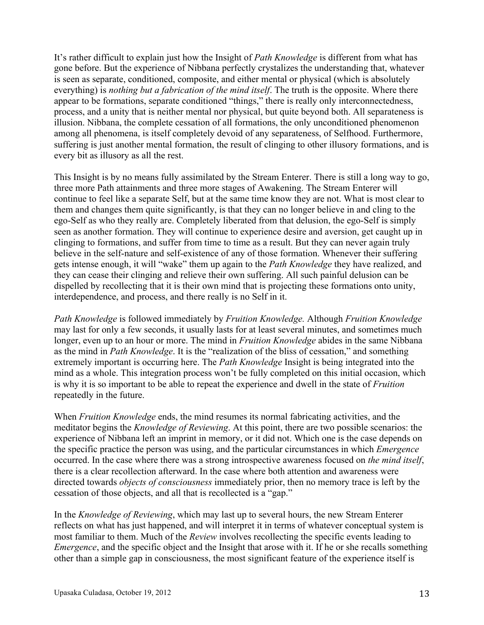It's rather difficult to explain just how the Insight of *Path Knowledge* is different from what has gone before. But the experience of Nibbana perfectly crystalizes the understanding that, whatever is seen as separate, conditioned, composite, and either mental or physical (which is absolutely everything) is *nothing but a fabrication of the mind itself*. The truth is the opposite. Where there appear to be formations, separate conditioned "things," there is really only interconnectedness, process, and a unity that is neither mental nor physical, but quite beyond both. All separateness is illusion. Nibbana, the complete cessation of all formations, the only unconditioned phenomenon among all phenomena, is itself completely devoid of any separateness, of Selfhood. Furthermore, suffering is just another mental formation, the result of clinging to other illusory formations, and is every bit as illusory as all the rest.

This Insight is by no means fully assimilated by the Stream Enterer. There is still a long way to go, three more Path attainments and three more stages of Awakening. The Stream Enterer will continue to feel like a separate Self, but at the same time know they are not. What is most clear to them and changes them quite significantly, is that they can no longer believe in and cling to the ego-Self as who they really are. Completely liberated from that delusion, the ego-Self is simply seen as another formation. They will continue to experience desire and aversion, get caught up in clinging to formations, and suffer from time to time as a result. But they can never again truly believe in the self-nature and self-existence of any of those formation. Whenever their suffering gets intense enough, it will "wake" them up again to the *Path Knowledge* they have realized, and they can cease their clinging and relieve their own suffering. All such painful delusion can be dispelled by recollecting that it is their own mind that is projecting these formations onto unity, interdependence, and process, and there really is no Self in it.

*Path Knowledge* is followed immediately by *Fruition Knowledge.* Although *Fruition Knowledge* may last for only a few seconds, it usually lasts for at least several minutes, and sometimes much longer, even up to an hour or more. The mind in *Fruition Knowledge* abides in the same Nibbana as the mind in *Path Knowledge*. It is the "realization of the bliss of cessation," and something extremely important is occurring here. The *Path Knowledge* Insight is being integrated into the mind as a whole. This integration process won't be fully completed on this initial occasion, which is why it is so important to be able to repeat the experience and dwell in the state of *Fruition* repeatedly in the future.

When *Fruition Knowledge* ends, the mind resumes its normal fabricating activities, and the meditator begins the *Knowledge of Reviewing*. At this point, there are two possible scenarios: the experience of Nibbana left an imprint in memory, or it did not. Which one is the case depends on the specific practice the person was using, and the particular circumstances in which *Emergence* occurred. In the case where there was a strong introspective awareness focused on *the mind itself*, there is a clear recollection afterward. In the case where both attention and awareness were directed towards *objects of consciousness* immediately prior, then no memory trace is left by the cessation of those objects, and all that is recollected is a "gap."

In the *Knowledge of Reviewing*, which may last up to several hours, the new Stream Enterer reflects on what has just happened, and will interpret it in terms of whatever conceptual system is most familiar to them. Much of the *Review* involves recollecting the specific events leading to *Emergence*, and the specific object and the Insight that arose with it. If he or she recalls something other than a simple gap in consciousness, the most significant feature of the experience itself is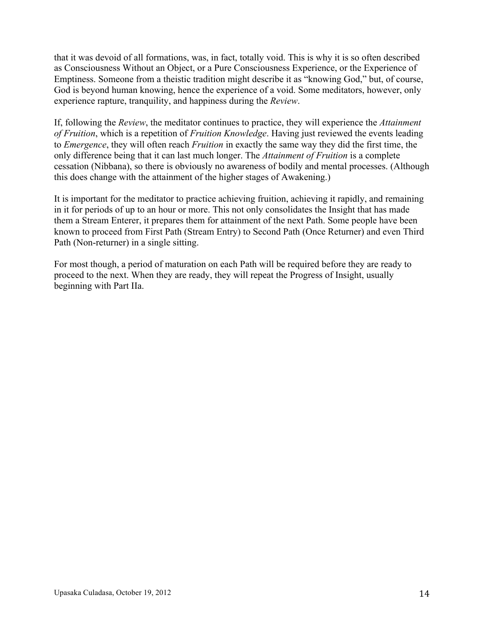that it was devoid of all formations, was, in fact, totally void. This is why it is so often described as Consciousness Without an Object, or a Pure Consciousness Experience, or the Experience of Emptiness. Someone from a theistic tradition might describe it as "knowing God," but, of course, God is beyond human knowing, hence the experience of a void. Some meditators, however, only experience rapture, tranquility, and happiness during the *Review*.

If, following the *Review*, the meditator continues to practice, they will experience the *Attainment of Fruition*, which is a repetition of *Fruition Knowledge*. Having just reviewed the events leading to *Emergence*, they will often reach *Fruition* in exactly the same way they did the first time, the only difference being that it can last much longer. The *Attainment of Fruition* is a complete cessation (Nibbana), so there is obviously no awareness of bodily and mental processes. (Although this does change with the attainment of the higher stages of Awakening.)

It is important for the meditator to practice achieving fruition, achieving it rapidly, and remaining in it for periods of up to an hour or more. This not only consolidates the Insight that has made them a Stream Enterer, it prepares them for attainment of the next Path. Some people have been known to proceed from First Path (Stream Entry) to Second Path (Once Returner) and even Third Path (Non-returner) in a single sitting.

For most though, a period of maturation on each Path will be required before they are ready to proceed to the next. When they are ready, they will repeat the Progress of Insight, usually beginning with Part IIa.